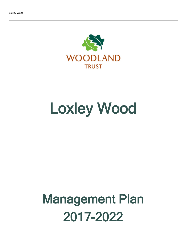

# Loxley Wood

## Management Plan 2017-2022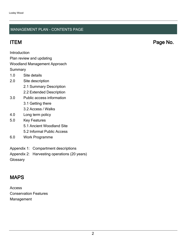### MANAGEMENT PLAN - CONTENTS PAGE

**Introduction** 

Plan review and updating

### Woodland Management Approach

**Summary** 

- 1.0 Site details
- 2.0 Site description
	- 2.1 Summary Description
	- 2.2 Extended Description
- 3.0 Public access information
	- 3.1 Getting there
	- 3.2 Access / Walks
- 4.0 Long term policy
- 5.0 Key Features
	- 5.1 Ancient Woodland Site
	- 5.2 Informal Public Access
- 6.0 Work Programme
- Appendix 1: Compartment descriptions
- Appendix 2: Harvesting operations (20 years)

**Glossary** 

### MAPS

Access Conservation Features Management

ITEM Page No.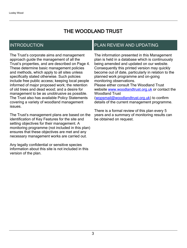### THE WOODLAND TRUST

### INTRODUCTION

The Trust's corporate aims and management approach guide the management of all the Trust's properties, and are described on Page 4. These determine basic management policies and methods, which apply to all sites unless specifically stated otherwise. Such policies include free public access; keeping local people informed of major proposed work; the retention of old trees and dead wood; and a desire for management to be as unobtrusive as possible. The Trust also has available Policy Statements covering a variety of woodland management issues.

The Trust's management plans are based on the identification of Key Features for the site and setting objectives for their management. A monitoring programme (not included in this plan) ensures that these objectives are met and any necessary management works are carried out.

Any legally confidential or sensitive species information about this site is not included in this version of the plan.

### PLAN REVIEW AND UPDATING

The information presented in this Management plan is held in a database which is continuously being amended and updated on our website. Consequently this printed version may quickly become out of date, particularly in relation to the planned work programme and on-going monitoring observations. Please either consult The Woodland Trust website [www.woodlandtrust.org.uk](http://www.woodlandtrust.org.uk/) or contact the Woodland Trust [\(wopsmail@woodlandtrust.org.uk](mailto:wopsmail@woodlandtrust.org.uk)) to confirm

details of the current management programme.

There is a formal review of this plan every 5 years and a summary of monitoring results can be obtained on request.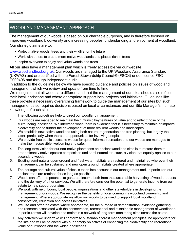### WOODLAND MANAGEMENT APPROACH

The management of our woods is based on our charitable purposes, and is therefore focused on improving woodland biodiversity and increasing peoples' understanding and enjoyment of woodland. Our strategic aims are to:

- Protect native woods, trees and their wildlife for the future
- Work with others to create more native woodlands and places rich in trees
- Inspire everyone to enjoy and value woods and trees

All our sites have a management plan which is freely accessible via our website [www.woodlandtrust.org.uk.](http://www.woodlandtrust.org.uk/) Our woods are managed to the UK Woodland Assurance Standard (UKWAS) and are certified with the Forest Stewardship Council® (FSC®) under licence FSC-C009406 and through independent audit.

In addition to the guidelines below we have specific guidance and policies on issues of woodland management which we review and update from time to time.

We recognise that all woods are different and that the management of our sites should also reflect their local landscape and where appropriate support local projects and initiatives. Guidelines like these provide a necessary overarching framework to guide the management of our sites but such management also requires decisions based on local circumstances and our Site Manager's intimate knowledge of each site.

The following guidelines help to direct our woodland management:

- 1. Our woods are managed to maintain their intrinsic key features of value and to reflect those of the surrounding landscape. We intervene when there is evidence that it is necessary to maintain or improve biodiversity and to further the development of more resilient woods and landscapes.
- 2. We establish new native woodland using both natural regeneration and tree planting, but largely the latter, particularly when there are opportunities for involving people.
- 3. We provide free public access to woods for quiet, informal recreation and our woods are managed to make them accessible, welcoming and safe.
- 4. The long term vision for our non-native plantations on ancient woodland sites is to restore them to predominantly native species composition and semi-natural structure, a vision that equally applies to our secondary woods.
- 5. Existing semi-natural open-ground and freshwater habitats are restored and maintained wherever their management can be sustained and new open ground habitats created where appropriate.
- 6. The heritage and cultural value of sites is taken into account in our management and, in particular, our ancient trees are retained for as long as possible.
- 7. Woods can offer the potential to generate income both from the sustainable harvesting of wood products and the delivery of other services. We will therefore consider the potential to generate income from our estate to help support our aims.
- 8. We work with neighbours, local people, organisations and other stakeholders in developing the management of our woods. We recognise the benefits of local community woodland ownership and management. Where appropriate we allow our woods to be used to support local woodland, conservation, education and access initiatives.
- 9. We use and offer the estate where appropriate, for the purpose of demonstration, evidence gathering and research associated with the conservation, recreational and sustainable management of woodlands. In particular we will develop and maintain a network of long-term monitoring sites across the estate.
- 10 Any activities we undertake will conform to sustainable forest management principles, be appropriate for the site and will be balanced with our primary objectives of enhancing the biodiversity and recreational value of our woods and the wider landscapes.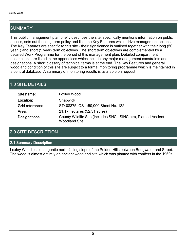### SUMMARY

This public management plan briefly describes the site, specifically mentions information on public access, sets out the long term policy and lists the Key Features which drive management actions. The Key Features are specific to this site - their significance is outlined together with their long (50 year+) and short (5 year) term objectives. The short term objectives are complemented by a detailed Work Programme for the period of this management plan. Detailed compartment descriptions are listed in the appendices which include any major management constraints and designations. A short glossary of technical terms is at the end. The Key Features and general woodland condition of this site are subject to a formal monitoring programme which is maintained in a central database. A summary of monitoring results is available on request.

### 1.0 SITE DETAILS

| Site name:      | Loxley Wood                                                                             |
|-----------------|-----------------------------------------------------------------------------------------|
| Location:       | <b>Shapwick</b>                                                                         |
| Grid reference: | ST408375, OS 1:50,000 Sheet No. 182                                                     |
| Area:           | 21.17 hectares (52.31 acres)                                                            |
| Designations:   | County Wildlife Site (includes SNCI, SINC etc), Planted Ancient<br><b>Woodland Site</b> |

### 2.0 SITE DESCRIPTION

### 2.1 Summary Description

Loxley Wood lies on a gentle north facing slope of the Polden Hills between Bridgwater and Street. The wood is almost entirely an ancient woodland site which was planted with conifers in the 1960s.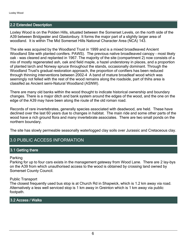### 2.2 Extended Description

Loxley Wood is on the Polden Hills, situated between the Somerset Levels, on the north side of the A39 between Bridgwater and Glastonbury. It forms the major part of a slightly larger area of woodland. It is within The Mid Somerset Hills National Character Area (NCA) 143.

The site was acquired by the Woodland Trust in 1999 and is a mixed broadleaved Ancient Woodland Site with planted conifers. PAWS). The previous native broadleaved canopy - most likely oak - was cleared and replanted in 1967. The majority of the site (compartment 2) now consists of a mix of mostly regenerated ash, oak and field maple, a hazel understorey in places, and a proportion of planted larch and Norway spruce throughout the stands, occasionally dominant. Through the Woodland Trust's gradual restoration approach, the proportion of conifiers has been reduced through thinning interventions between 2002-4 A band of mature broadleaf wood which was seemingly not felled with the rest of the wood remains along the roadside, part of thihs area is classifed as Ancient semi-Natural Woodland (ASNW).

There are many old banks within the wood thought to indicate historical ownership and boundary changes. There is a major ditch and bank system around the edges of the wood, and the one on the edge of the A39 may have been along the route of the old roman road.

Records of rare invertebrates, generally species associated with deadwood, are held. These have declined over the last 60 years due to changes in habitat. The main ride and some other parts of the wood have a rich ground flora and many invertebrate associates. There are two small ponds on the northern boundary.

The site has slowly permeable seasonally waterlogged clay soils over Jurassic and Cretaceous clay.

### 3.0 PUBLIC ACCESS INFORMATION

### 3.1 Getting there

Parking

Parking for up to four cars exists in the management gateway from Wood Lane. There are 2 lay-bys on the A39 from which unauthorised access to the wood is obtained by crossing land owned by Somerset County Council.

### Public Transport

The closest frequently used bus stop is at Church Rd in Shapwick, which is 1.2 km away via road. Alternatively a less well serviced stop is 1 km away in Greinton which is 1 km away via public footpath.

### 3.2 Access / Walks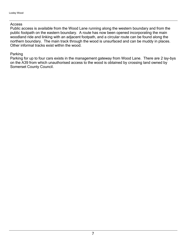#### Access

Public access is available from the Wood Lane running along the western boundary and from the public footpath on the eastern boundary. A route has now been opened incorporating the main woodland ride and linking with an adjacent footpath, and a circular route can be found along the northern boundary. The main track through the wood is unsurfaced and can be muddy in places. Other informal tracks exist within the wood.

### Parking

Parking for up to four cars exists in the management gateway from Wood Lane. There are 2 lay-bys on the A39 from which unauthorised access to the wood is obtained by crossing land owned by Somerset County Council.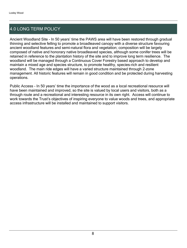### 4.0 LONG TERM POLICY

Ancient Woodland Site - In 50 years' time the PAWS area will have been restored through gradual thinning and selective felling to promote a broadleaved canopy with a diverse structure favouring ancient woodland features and semi-natural flora and vegetation; composition will be largely composed of native and honorary native broadleaved species, although some conifer trees will be retained in reference to the plantation history of the site and to improve long term resilience. The woodland will be managed through a Continuous Cover Forestry based approach to develop and maintain a mixed age and species structure, to promote healthy, species-rich and resilient woodland. The main ride edges will have a varied structure maintained through 2-zone management. All historic features will remain in good condition and be protected during harvesting operations.

Public Access - In 50 years' time the importance of the wood as a local recreational resource will have been maintained and improved, so the site is valued by local users and visitors, both as a through route and a recreational and interesting resource in its own right. Access will continue to work towards the Trust's objectives of inspiring everyone to value woods and trees, and appropriate access infrastructure will be installed and maintained to support visitors.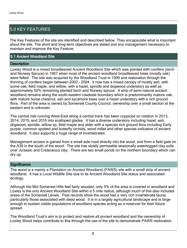### 5.0 KEY FEATURES

The Key Features of the site are identified and described below. They encapsulate what is important about the site. The short and long-term objectives are stated and any management necessary to maintain and improve the Key Feature.

### 5.1 Ancient Woodland Site

### **Description**

Loxley Wood is a mixed broadleaved Ancient Woodland Site which was planted with conifers (larch and Norway Spruce) in 1967 when most of the ancient woodland broadleaved trees (mostly oak) were felled. The site was acquired by the Woodland Trust in 1999 and restoration through the thinning of conifers began between 2002 - 2004. It now has a mixed canopy of mostly ash, with some oak, field maple, and willow, with a hazel, spindle and dogwood understory as well as approxmately 50% remaining planted larch and Norway spruce. A strip of semi-natural ancient woodland remains along the south-eastern roadside boundary which is predominantly mature oak, with mature horse chestnut, ash and sycamore trees over a hazel understory with a rich ground flora. Part of the area is owned by Somerset County Council, ownership over a small section at the eastern end is unknown.

The central ride running West-East along a central track has been coppiced on rotation in 2013, 2014, 2015, and 2016 into scalloped glades. It has a diverse understory including hazel, ash, dogwood, spindle, willow sp, field maple and alder with a species rich ground flora including Early purple, common spotted and butterfly orchids, wood millet and other species indicative of ancient woodland. It also supports a huge range of invertebrates.

Management access is gained from a small side road directly into the wood, and from a field gate on the A39 in the south of the wood. The site has slowly permeable seasonally waterlogged clay soils over Jurassic and Cretaceous clay. There are two small ponds on the northern boundary which can dry up.

#### **Significance**

The wood is a mainly a Plantation on Ancient Woodland (PAWS) site with a small strip of ancient woodland. It has a Local Wildlife Site due to its Ancient Woodland Site status and associated ecology.

Although the Mid Somerset Hills feel fairly wooded, only 5% of the area is covered in woodland and Loxley is the only Ancient Woodland Site within a 5 mile radius, although much of this also includes areas of the Somerset Levels. Past records show the wood had a very rich invertebrate fauna, particularly those associated with dead wood. It is in a largely agricultural landscape and is large enough to sustain viable populations of woodland species acting as a reservoir for their future spread.

The Woodland Trust's aim is to protect and restore all ancient woodland and the ownership of Loxley Wood helps contribute to this through the use of the site to demonstrate PAWS restoration.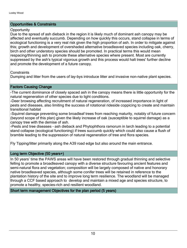### Opportunities & Constraints

### **Opportunity**

Due to the spread of ash dieback in the region it is likely much of dominant ash canopy may be affected and eventually succumb. Depending on how quickly this occurs, stand collapse in terms of ecological functioning is a very real risk given the high proportion of ash. In order to mitigate against this; growth and development of overshaded alternative broadleaved species including oak, cherry, birch and other understory species should be promoted. In practical terms this would mean respacing/thinning ash to promote these alternative species where present. Most are currently suppressed by the ash's typical vigorous growth and this process would halt trees' further decline and promote the development of a future canopy.

**Constraints** 

Dumping and litter from the users of lay-bys introduce litter and invasive non-native plant species.

### Factors Causing Change

-The current dominance of closely spaced ash in the canopy means there is little opportunity for the natural regeneration of other species due to light conditions.

-Deer browsing affecting recruitment of natural regeneration, of increased importance in light of pests and diseases, also limiting the success of rotational rideside coppicing to create and maintain transitional habitat

-Squirrel damage preventing some broadleaf trees from reaching maturity, notably of future concern (beyond scope of this plan) given the likely increase of oak (susceptible to squirrel damage) as a canopy tree with the demise of ash.

-Pests and tree diseases - ash dieback and Phytophthora ramorum in larch leading to a potential stand collapse (ecological functioning) if trees succumb quickly which could also cause a flush of bramble leading to the suppression of natural regeneration of tree and flora species.

Fly Tipping/litter primarily along the A39 road edge but also around the main entrance.

### Long term Objective (50 years+)

In 50 years' time the PAWS areas will have been restored through gradual thinning and selective felling to promote a broadleaved canopy with a diverse structure favouring ancient features and semi-natural flora and vegetation; composition will be largely composed of native and honorary native broadleaved species, although some conifer trees will be retained in reference to the plantation history of the site and to improve long term resilience. The woodland will be managed through a CCF based approach to develop and maintain a mixed age and species structure, to promote a healthy, species-rich and resilient woodland.

Short term management Objectives for the plan period (5 years)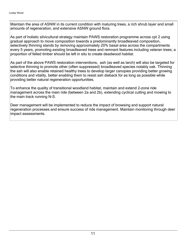Maintain the area of ASNW in its current condition with maturing trees, a rich shrub layer and small amounts of regeneration, and extensive ASNW ground flora.

As part of holistic silvicultural strategy maintain PAWS restoration programme across cpt 2 using gradual approach to move composition towards a predominantly broadleaved composition, selectively thinning stands by removing approximately 20% basal area across the compartments every 5 years, promoting existing broadleaved trees and remnant features including veteran trees; a proportion of felled timber should be left in situ to create deadwood habitat.

As part of the above PAWS restoration interventions, ash (as well as larch) will also be targeted for selective thinning to promote other (often suppressed) broadleaved species notably oak. Thinning the ash will also enable retained healthy trees to develop larger canopies providing better growing conditions and vitality, better enabling them to resist ash dieback for as long as possible while providing better natural regeneration opportunities.

To enhance the quality of transitional woodland habitat, maintain and extend 2-zone ride management across the main ride (between 2a and 2b), extending cyclical cutting and mowing to the main track running N-S.

Deer management will be implemented to reduce the impact of browsing and support natural regeneration processes and ensure success of ride management. Maintain monitoring through deer impact assessments.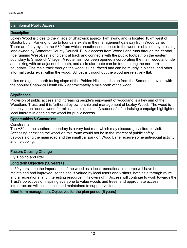### 5.2 Informal Public Access

### **Description**

Loxley Wood is close to the village of Shapwick approx 1km away, and is located 10km west of Glastonbury. Parking for up to four cars exists in the management gateway from Wood Lane. There are 2 lay-bys on the A39 from which unauthorised access to the wood is obtained by crossing land owned by Somerset County Council. Public access from Wood Lane runs through the central ride running West-East along central track and connects with the public footpath on the eastern boundary to Shapwick Village. A route has now been opened incorporating the main woodland ride and linking with an adjacent footpath, and a circular route can be found along the northern boundary. The main track through the wood is unsurfaced and can be muddy in places, and other informal tracks exist within the wood. All paths throughout the wood are relatively flat.

It lies on a gentle north facing slope of the Polden Hills that rise up from the Somerset Levels, with the popular Shapwick Heath NNR approximately a mile north of the wood.

#### **Significance**

Provision of public access and increasing people's enjoyment of woodland is a key aim of the Woodland Trust, and it is furthered by ownership and management of Loxley Wood. The wood is the only open access wood for miles in all directions. A successful fundraising campaign highlighted local interest in opening the wood for public access.

### Opportunities & Constraints

#### Constraints

The A39 on the southern boundary is a very fast road which may discourage visitors to visit. Accessing or exiting the wood via this route would not be in the interest of public safety. Lay-bys along the main road and the small car park on Wood Lane receive some anti-social activity and fly-tipping.

### Factors Causing Change

Fly Tipping and litter

### Long term Objective (50 years+)

In 50 years' time the importance of the wood as a local recreational resource will have been maintained and improved, so the site is valued by local users and visitors, both as a through route and a recreational and interesting resource in its own right. Access will continue to work towards the Trust's objectives of inspiring everyone to value woods and trees, and appropriate access infrastructure will be installed and maintained to support visitors.

Short term management Objectives for the plan period (5 years)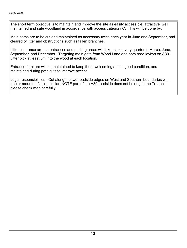The short term objective is to maintain and improve the site as easily accessible, attractive, well maintained and safe woodland in accordance with access category C. This will be done by:

Main paths are to be cut and maintained as necessary twice each year in June and September, and cleared of litter and obstructions such as fallen branches.

Litter clearance around entrances and parking areas will take place every quarter in March, June, September, and December. Targeting main gate from Wood Lane and both road laybys on A39. Litter pick at least 5m into the wood at each location.

Entrance furniture will be maintained to keep them welcoming and in good condition, and maintained during path cuts to improve access.

Legal responsibilities - Cut along the two roadside edges on West and Southern boundaries with tractor mounted flail or similar. NOTE part of the A39 roadside does not belong to the Trust so please check map carefully.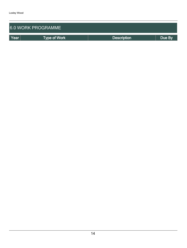| <b>6.0 WORK PROGRAMME</b> |                     |                    |        |  |  |  |
|---------------------------|---------------------|--------------------|--------|--|--|--|
| Year                      | <b>Type of Work</b> | <b>Description</b> | Due By |  |  |  |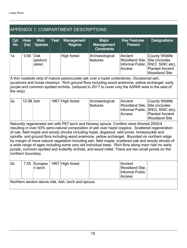### APPENDIX 1: COMPARTMENT DESCRIPTIONS

| Cpt<br>No.                                                                                                                                                                                                                                                                                                                                                                                                                                                                                                                                                                                                                                                                                                                        | Area<br>(ha) | <b>Main</b><br><b>Species</b> | Year | <b>Management</b><br>Regime | <b>Major</b><br><b>Management</b><br><b>Constraints</b> | <b>Key Features</b><br><b>Present</b>                                               | <b>Designations</b>                                                                                            |
|-----------------------------------------------------------------------------------------------------------------------------------------------------------------------------------------------------------------------------------------------------------------------------------------------------------------------------------------------------------------------------------------------------------------------------------------------------------------------------------------------------------------------------------------------------------------------------------------------------------------------------------------------------------------------------------------------------------------------------------|--------------|-------------------------------|------|-----------------------------|---------------------------------------------------------|-------------------------------------------------------------------------------------|----------------------------------------------------------------------------------------------------------------|
| 1a                                                                                                                                                                                                                                                                                                                                                                                                                                                                                                                                                                                                                                                                                                                                | 0.64         | Oak<br>(pedunc<br>ulate)      |      | <b>High forest</b>          | Archaeological<br>features                              | Ancient<br>Woodland Site,<br>Informal Public<br><b>Access</b>                       | <b>County Wildlife</b><br>Site (includes<br>SNCI, SINC etc),<br><b>Planted Ancient</b><br><b>Woodland Site</b> |
| A thin roadside strip of mature pedunculate oak over a hazel understorey. Occasional ash,<br>sycamore and horse chestnut. Rich ground flora including wood anemone, yellow archangel, early<br>purple and common spotted orchids. (reduced in 2017 to cover only the ASNW area to the east of<br>the strip).                                                                                                                                                                                                                                                                                                                                                                                                                      |              |                               |      |                             |                                                         |                                                                                     |                                                                                                                |
| 2a                                                                                                                                                                                                                                                                                                                                                                                                                                                                                                                                                                                                                                                                                                                                | $12.98$ Ash  |                               | 1967 | High forest                 | Archaeological<br>features                              | Ancient<br>Woodland Site, Site (includes<br><b>Informal Public</b><br><b>Access</b> | <b>County Wildlife</b><br>SNCI, SINC etc),<br><b>Planted Ancient</b><br><b>Woodland Site</b>                   |
| Naturally regenerated ash with P67 larch and Norway spruce. Conifers were thinned 2002/4<br>resulting in over 50% semi-natural composition of ash over hazel coppice. Scattered regeneration<br>of oak, field maple and woody shrubs including hazel, dogwood, wild privet, honeysuckle and<br>spindle, and ground flora including wood anemone, yellow archangel. Bounded on northern edge<br>by margin of more natural vegetation including ash, field maple, scattered oak and woody shrubs of<br>a wide range of ages including some very old individual trees. Rich flora along main ride inc early<br>purple, common spotted and butterfly orchids, and wood millet. There are two small ponds on the<br>northern boundary. |              |                               |      |                             |                                                         |                                                                                     |                                                                                                                |
| 2 <sub>b</sub>                                                                                                                                                                                                                                                                                                                                                                                                                                                                                                                                                                                                                                                                                                                    | 7.55         | Europea<br>n larch            | 1967 | <b>High forest</b>          |                                                         | Ancient<br><b>Woodland Site,</b><br><b>Informal Public</b><br>Access                |                                                                                                                |
| Northern section above ride. Ash, larch and spruce.                                                                                                                                                                                                                                                                                                                                                                                                                                                                                                                                                                                                                                                                               |              |                               |      |                             |                                                         |                                                                                     |                                                                                                                |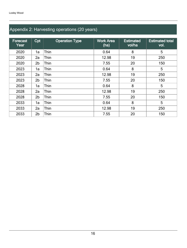## Appendix 2: Harvesting operations (20 years)

| <b>Forecast</b><br>Year | Cpt            | <b>Operation Type</b> | <b>Work Area</b><br>(ha) | <b>Estimated</b><br>vol/ha | <b>Estimated total</b><br>vol. |
|-------------------------|----------------|-----------------------|--------------------------|----------------------------|--------------------------------|
| 2020                    | 1a             | Thin                  | 0.64                     | 8                          | 5                              |
| 2020                    | 2a             | Thin                  | 12.98                    | 19                         | 250                            |
| 2020                    | 2 <sub>b</sub> | Thin                  | 7.55                     | 20                         | 150                            |
| 2023                    | 1a             | Thin                  | 0.64                     | 8                          | 5                              |
| 2023                    | 2a             | Thin                  | 12.98                    | 19                         | 250                            |
| 2023                    | 2 <sub>b</sub> | Thin                  | 7.55                     | 20                         | 150                            |
| 2028                    | 1a             | Thin                  | 0.64                     | 8                          | 5                              |
| 2028                    | 2a             | Thin                  | 12.98                    | 19                         | 250                            |
| 2028                    | 2 <sub>b</sub> | Thin                  | 7.55                     | 20                         | 150                            |
| 2033                    | 1a             | Thin                  | 0.64                     | 8                          | 5                              |
| 2033                    | 2a             | Thin                  | 12.98                    | 19                         | 250                            |
| 2033                    | 2 <sub>b</sub> | Thin                  | 7.55                     | 20                         | 150                            |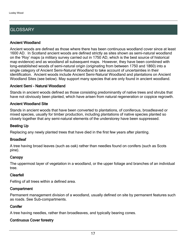### **GLOSSARY**

### Ancient Woodland

Ancient woods are defined as those where there has been continuous woodland cover since at least 1600 AD. In Scotland ancient woods are defined strictly as sites shown as semi-natural woodland on the 'Roy' maps (a military survey carried out in 1750 AD, which is the best source of historical map evidence) and as woodland all subsequent maps. However, they have been combined with long-established woods of semi-natural origin (originating from between 1750 and 1860) into a single category of Ancient Semi-Natural Woodland to take account of uncertainties in their identification. Ancient woods include Ancient Semi-Natural Woodland and plantations on Ancient Woodland Sites (see below). May support many species that are only found in ancient woodland.

### Ancient Semi - Natural Woodland

Stands in ancient woods defined as those consisting predominantly of native trees and shrubs that have not obviously been planted, which have arisen from natural regeneration or coppice regrowth.

### Ancient Woodland Site

Stands in ancient woods that have been converted to plantations, of coniferous, broadleaved or mixed species, usually for timber production, including plantations of native species planted so closely together that any semi-natural elements of the understorey have been suppressed.

### Beating Up

Replacing any newly planted trees that have died in the first few years after planting.

### **Broadleaf**

A tree having broad leaves (such as oak) rather than needles found on conifers (such as Scots pine).

### **Canopy**

The uppermost layer of vegetation in a woodland, or the upper foliage and branches of an individual tree.

### Clearfell

Felling of all trees within a defined area.

### **Compartment**

Permanent management division of a woodland, usually defined on site by permanent features such as roads. See Sub-compartments.

### **Conifer**

A tree having needles, rather than broadleaves, and typically bearing cones.

### Continuous Cover forestry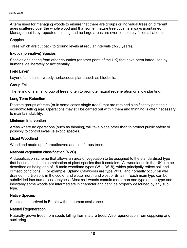A term used for managing woods to ensure that there are groups or individual trees of different ages scattered over the whole wood and that some mature tree cover is always maintained. Management is by repeated thinning and no large areas are ever completely felled all at once.

### **Coppice**

Trees which are cut back to ground levels at regular intervals (3-25 years).

### Exotic (non-native) Species

Species originating from other countries (or other parts of the UK) that have been introduced by humans, deliberately or accidentally.

### Field Layer

Layer of small, non-woody herbaceous plants such as bluebells.

### Group Fell

The felling of a small group of trees, often to promote natural regeneration or allow planting.

### Long Term Retention

Discrete groups of trees (or in some cases single trees) that are retained significantly past their economic felling age. Operations may still be carried out within them and thinning is often necessary to maintain stability.

### Minimum Intervention

Areas where no operations (such as thinning) will take place other than to protect public safety or possibly to control invasive exotic species.

### Mixed Woodland

Woodland made up of broadleaved and coniferous trees.

### National vegetation classification (NVC)

A classification scheme that allows an area of vegetation to be assigned to the standardised type that best matches the combination of plant species that it contains. All woodlands in the UK can be described as being one of 18 main woodland types (W1 - W18), which principally reflect soil and climatic conditions. For example, Upland Oakwoods are type W11, and normally occur on well drained infertile soils in the cooler and wetter north and west of Britain. Each main type can be subdivided into numerous subtypes. Most real woods contain more than one type or sub-type and inevitably some woods are intermediate in character and can't be properly described by any sub type.

### Native Species

Species that arrived in Britain without human assistance.

### Natural Regeneration

Naturally grown trees from seeds falling from mature trees. Also regeneration from coppicing and suckering.